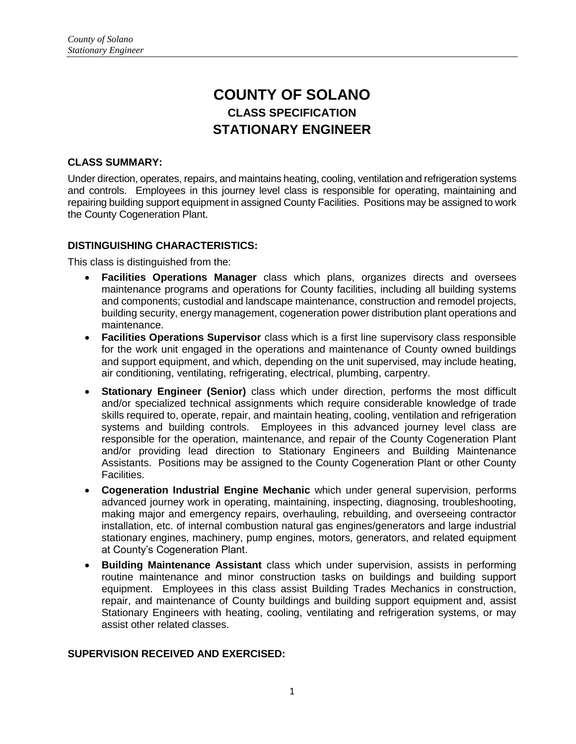# **COUNTY OF SOLANO CLASS SPECIFICATION STATIONARY ENGINEER**

## **CLASS SUMMARY:**

Under direction, operates, repairs, and maintains heating, cooling, ventilation and refrigeration systems and controls. Employees in this journey level class is responsible for operating, maintaining and repairing building support equipment in assigned County Facilities. Positions may be assigned to work the County Cogeneration Plant.

## **DISTINGUISHING CHARACTERISTICS:**

This class is distinguished from the:

- **Facilities Operations Manager** class which plans, organizes directs and oversees maintenance programs and operations for County facilities, including all building systems and components; custodial and landscape maintenance, construction and remodel projects, building security, energy management, cogeneration power distribution plant operations and maintenance.
- **Facilities Operations Supervisor** class which is a first line supervisory class responsible for the work unit engaged in the operations and maintenance of County owned buildings and support equipment, and which, depending on the unit supervised, may include heating, air conditioning, ventilating, refrigerating, electrical, plumbing, carpentry.
- **Stationary Engineer (Senior)** class which under direction, performs the most difficult and/or specialized technical assignments which require considerable knowledge of trade skills required to, operate, repair, and maintain heating, cooling, ventilation and refrigeration systems and building controls. Employees in this advanced journey level class are responsible for the operation, maintenance, and repair of the County Cogeneration Plant and/or providing lead direction to Stationary Engineers and Building Maintenance Assistants. Positions may be assigned to the County Cogeneration Plant or other County Facilities.
- **Cogeneration Industrial Engine Mechanic** which under general supervision, performs advanced journey work in operating, maintaining, inspecting, diagnosing, troubleshooting, making major and emergency repairs, overhauling, rebuilding, and overseeing contractor installation, etc. of internal combustion natural gas engines/generators and large industrial stationary engines, machinery, pump engines, motors, generators, and related equipment at County's Cogeneration Plant.
- **Building Maintenance Assistant** class which under supervision, assists in performing routine maintenance and minor construction tasks on buildings and building support equipment. Employees in this class assist Building Trades Mechanics in construction, repair, and maintenance of County buildings and building support equipment and, assist Stationary Engineers with heating, cooling, ventilating and refrigeration systems, or may assist other related classes.

## **SUPERVISION RECEIVED AND EXERCISED:**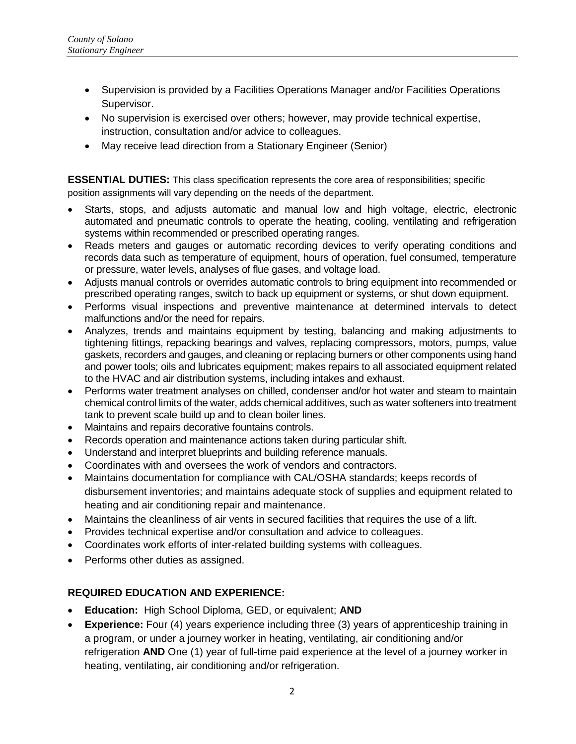- Supervision is provided by a Facilities Operations Manager and/or Facilities Operations Supervisor.
- No supervision is exercised over others; however, may provide technical expertise, instruction, consultation and/or advice to colleagues.
- May receive lead direction from a Stationary Engineer (Senior)

**ESSENTIAL DUTIES:** This class specification represents the core area of responsibilities; specific position assignments will vary depending on the needs of the department.

- Starts, stops, and adjusts automatic and manual low and high voltage, electric, electronic automated and pneumatic controls to operate the heating, cooling, ventilating and refrigeration systems within recommended or prescribed operating ranges.
- Reads meters and gauges or automatic recording devices to verify operating conditions and records data such as temperature of equipment, hours of operation, fuel consumed, temperature or pressure, water levels, analyses of flue gases, and voltage load.
- Adjusts manual controls or overrides automatic controls to bring equipment into recommended or prescribed operating ranges, switch to back up equipment or systems, or shut down equipment.
- Performs visual inspections and preventive maintenance at determined intervals to detect malfunctions and/or the need for repairs.
- Analyzes, trends and maintains equipment by testing, balancing and making adjustments to tightening fittings, repacking bearings and valves, replacing compressors, motors, pumps, value gaskets, recorders and gauges, and cleaning or replacing burners or other components using hand and power tools; oils and lubricates equipment; makes repairs to all associated equipment related to the HVAC and air distribution systems, including intakes and exhaust.
- Performs water treatment analyses on chilled, condenser and/or hot water and steam to maintain chemical control limits of the water, adds chemical additives, such as water softeners into treatment tank to prevent scale build up and to clean boiler lines.
- Maintains and repairs decorative fountains controls.
- Records operation and maintenance actions taken during particular shift.
- Understand and interpret blueprints and building reference manuals.
- Coordinates with and oversees the work of vendors and contractors.
- Maintains documentation for compliance with CAL/OSHA standards; keeps records of disbursement inventories; and maintains adequate stock of supplies and equipment related to heating and air conditioning repair and maintenance.
- Maintains the cleanliness of air vents in secured facilities that requires the use of a lift.
- Provides technical expertise and/or consultation and advice to colleagues.
- Coordinates work efforts of inter-related building systems with colleagues.
- Performs other duties as assigned.

# **REQUIRED EDUCATION AND EXPERIENCE:**

- **Education:** High School Diploma, GED, or equivalent; **AND**
- **Experience:** Four (4) years experience including three (3) years of apprenticeship training in a program, or under a journey worker in heating, ventilating, air conditioning and/or refrigeration **AND** One (1) year of full-time paid experience at the level of a journey worker in heating, ventilating, air conditioning and/or refrigeration.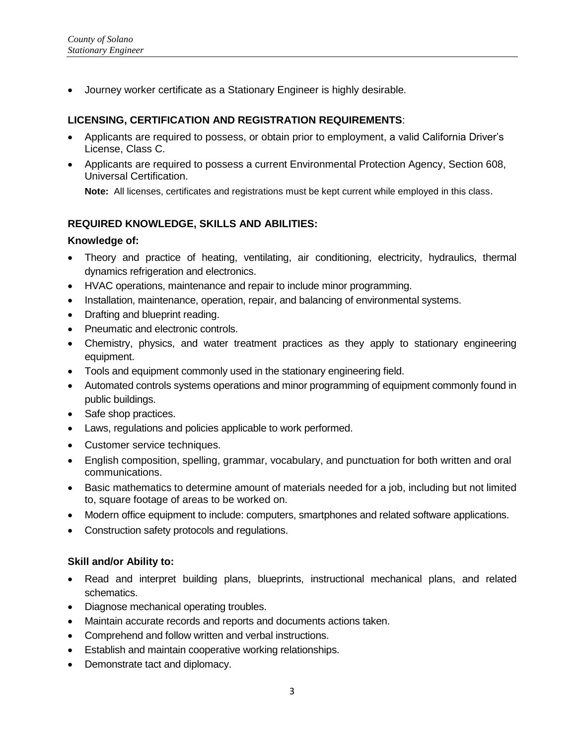Journey worker certificate as a Stationary Engineer is highly desirable*.*

## **LICENSING, CERTIFICATION AND REGISTRATION REQUIREMENTS**:

- Applicants are required to possess, or obtain prior to employment, a valid California Driver's License, Class C.
- Applicants are required to possess a current Environmental Protection Agency, Section 608, Universal Certification.

**Note:** All licenses, certificates and registrations must be kept current while employed in this class.

## **REQUIRED KNOWLEDGE, SKILLS AND ABILITIES:**

#### **Knowledge of:**

- Theory and practice of heating, ventilating, air conditioning, electricity, hydraulics, thermal dynamics refrigeration and electronics.
- HVAC operations, maintenance and repair to include minor programming.
- Installation, maintenance, operation, repair, and balancing of environmental systems.
- Drafting and blueprint reading.
- Pneumatic and electronic controls.
- Chemistry, physics, and water treatment practices as they apply to stationary engineering equipment.
- Tools and equipment commonly used in the stationary engineering field.
- Automated controls systems operations and minor programming of equipment commonly found in public buildings.
- Safe shop practices.
- Laws, regulations and policies applicable to work performed.
- Customer service techniques.
- English composition, spelling, grammar, vocabulary, and punctuation for both written and oral communications.
- Basic mathematics to determine amount of materials needed for a job, including but not limited to, square footage of areas to be worked on.
- Modern office equipment to include: computers, smartphones and related software applications.
- Construction safety protocols and regulations.

## **Skill and/or Ability to:**

- Read and interpret building plans, blueprints, instructional mechanical plans, and related schematics.
- Diagnose mechanical operating troubles.
- Maintain accurate records and reports and documents actions taken.
- Comprehend and follow written and verbal instructions.
- Establish and maintain cooperative working relationships.
- Demonstrate tact and diplomacy.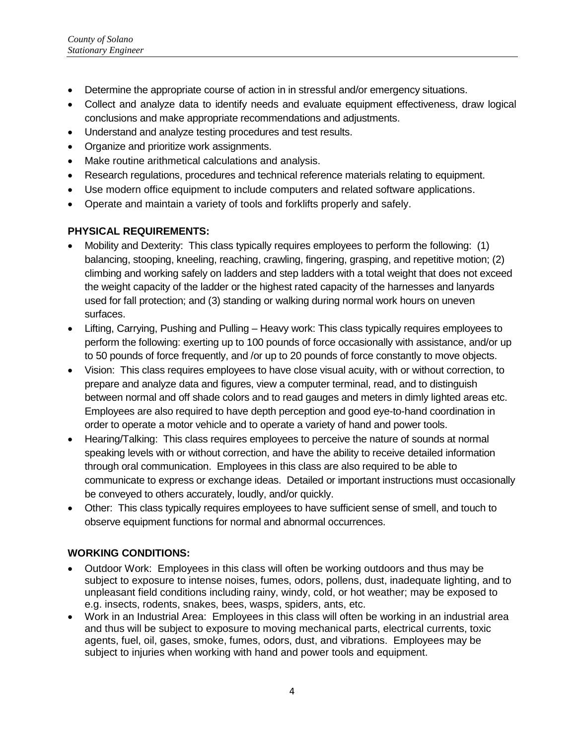- Determine the appropriate course of action in in stressful and/or emergency situations.
- Collect and analyze data to identify needs and evaluate equipment effectiveness, draw logical conclusions and make appropriate recommendations and adjustments.
- Understand and analyze testing procedures and test results.
- Organize and prioritize work assignments.
- Make routine arithmetical calculations and analysis.
- Research regulations, procedures and technical reference materials relating to equipment.
- Use modern office equipment to include computers and related software applications.
- Operate and maintain a variety of tools and forklifts properly and safely.

# **PHYSICAL REQUIREMENTS:**

- Mobility and Dexterity: This class typically requires employees to perform the following: (1) balancing, stooping, kneeling, reaching, crawling, fingering, grasping, and repetitive motion; (2) climbing and working safely on ladders and step ladders with a total weight that does not exceed the weight capacity of the ladder or the highest rated capacity of the harnesses and lanyards used for fall protection; and (3) standing or walking during normal work hours on uneven surfaces.
- Lifting, Carrying, Pushing and Pulling Heavy work: This class typically requires employees to perform the following: exerting up to 100 pounds of force occasionally with assistance, and/or up to 50 pounds of force frequently, and /or up to 20 pounds of force constantly to move objects.
- Vision: This class requires employees to have close visual acuity, with or without correction, to prepare and analyze data and figures, view a computer terminal, read, and to distinguish between normal and off shade colors and to read gauges and meters in dimly lighted areas etc. Employees are also required to have depth perception and good eye-to-hand coordination in order to operate a motor vehicle and to operate a variety of hand and power tools.
- Hearing/Talking: This class requires employees to perceive the nature of sounds at normal speaking levels with or without correction, and have the ability to receive detailed information through oral communication. Employees in this class are also required to be able to communicate to express or exchange ideas. Detailed or important instructions must occasionally be conveyed to others accurately, loudly, and/or quickly.
- Other: This class typically requires employees to have sufficient sense of smell, and touch to observe equipment functions for normal and abnormal occurrences.

# **WORKING CONDITIONS:**

- Outdoor Work: Employees in this class will often be working outdoors and thus may be subject to exposure to intense noises, fumes, odors, pollens, dust, inadequate lighting, and to unpleasant field conditions including rainy, windy, cold, or hot weather; may be exposed to e.g. insects, rodents, snakes, bees, wasps, spiders, ants, etc.
- Work in an Industrial Area: Employees in this class will often be working in an industrial area and thus will be subject to exposure to moving mechanical parts, electrical currents, toxic agents, fuel, oil, gases, smoke, fumes, odors, dust, and vibrations. Employees may be subject to injuries when working with hand and power tools and equipment.